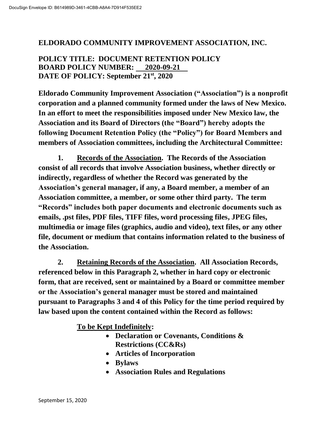#### **ELDORADO COMMUNITY IMPROVEMENT ASSOCIATION, INC.**

## **POLICY TITLE: DOCUMENT RETENTION POLICY BOARD POLICY NUMBER: 2020-09-21 DATE OF POLICY: September 21st, 2020**

**Eldorado Community Improvement Association ("Association") is a nonprofit corporation and a planned community formed under the laws of New Mexico. In an effort to meet the responsibilities imposed under New Mexico law, the Association and its Board of Directors (the "Board") hereby adopts the following Document Retention Policy (the "Policy") for Board Members and members of Association committees, including the Architectural Committee:**

**1. Records of the Association. The Records of the Association consist of all records that involve Association business, whether directly or indirectly, regardless of whether the Record was generated by the Association's general manager, if any, a Board member, a member of an Association committee, a member, or some other third party. The term "Records" includes both paper documents and electronic documents such as emails, .pst files, PDF files, TIFF files, word processing files, JPEG files, multimedia or image files (graphics, audio and video), text files, or any other file, document or medium that contains information related to the business of the Association.** 

**2. Retaining Records of the Association. All Association Records, referenced below in this Paragraph 2, whether in hard copy or electronic form, that are received, sent or maintained by a Board or committee member or the Association's general manager must be stored and maintained pursuant to Paragraphs 3 and 4 of this Policy for the time period required by law based upon the content contained within the Record as follows:** 

**To be Kept Indefinitely:**

- **Declaration or Covenants, Conditions & Restrictions (CC&Rs)**
- **Articles of Incorporation**
- **Bylaws**
- **Association Rules and Regulations**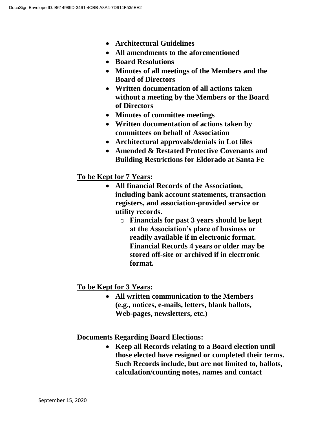- **Architectural Guidelines**
- **All amendments to the aforementioned**
- **Board Resolutions**
- **Minutes of all meetings of the Members and the Board of Directors**
- **Written documentation of all actions taken without a meeting by the Members or the Board of Directors**
- **Minutes of committee meetings**
- **Written documentation of actions taken by committees on behalf of Association**
- **Architectural approvals/denials in Lot files**
- **Amended & Restated Protective Covenants and Building Restrictions for Eldorado at Santa Fe**

### **To be Kept for 7 Years:**

- **All financial Records of the Association, including bank account statements, transaction registers, and association-provided service or utility records.**
	- o **Financials for past 3 years should be kept at the Association's place of business or readily available if in electronic format. Financial Records 4 years or older may be stored off-site or archived if in electronic format.**

## **To be Kept for 3 Years:**

 **All written communication to the Members (e.g., notices, e-mails, letters, blank ballots, Web-pages, newsletters, etc.)**

### **Documents Regarding Board Elections:**

 **Keep all Records relating to a Board election until those elected have resigned or completed their terms. Such Records include, but are not limited to, ballots, calculation/counting notes, names and contact**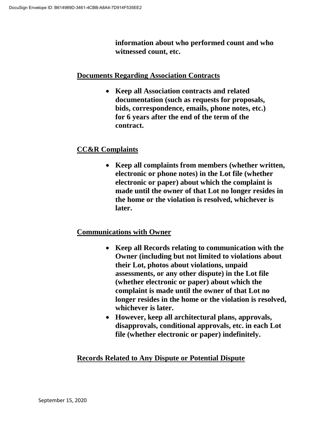**information about who performed count and who witnessed count, etc.**

#### **Documents Regarding Association Contracts**

 **Keep all Association contracts and related documentation (such as requests for proposals, bids, correspondence, emails, phone notes, etc.) for 6 years after the end of the term of the contract.**

# **CC&R Complaints**

 **Keep all complaints from members (whether written, electronic or phone notes) in the Lot file (whether electronic or paper) about which the complaint is made until the owner of that Lot no longer resides in the home or the violation is resolved, whichever is later.**

## **Communications with Owner**

- **Keep all Records relating to communication with the Owner (including but not limited to violations about their Lot, photos about violations, unpaid assessments, or any other dispute) in the Lot file (whether electronic or paper) about which the complaint is made until the owner of that Lot no longer resides in the home or the violation is resolved, whichever is later.**
- **However, keep all architectural plans, approvals, disapprovals, conditional approvals, etc. in each Lot file (whether electronic or paper) indefinitely.**

## **Records Related to Any Dispute or Potential Dispute**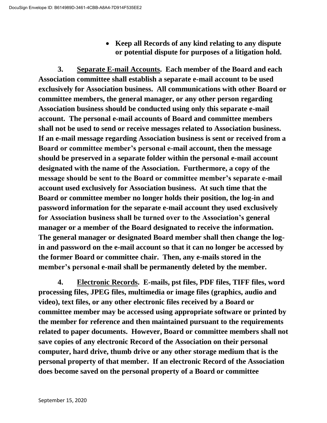**Keep all Records of any kind relating to any dispute or potential dispute for purposes of a litigation hold.**

**3. Separate E-mail Accounts. Each member of the Board and each Association committee shall establish a separate e-mail account to be used exclusively for Association business. All communications with other Board or committee members, the general manager, or any other person regarding Association business should be conducted using only this separate e-mail account. The personal e-mail accounts of Board and committee members shall not be used to send or receive messages related to Association business. If an e-mail message regarding Association business is sent or received from a Board or committee member's personal e-mail account, then the message should be preserved in a separate folder within the personal e-mail account designated with the name of the Association. Furthermore, a copy of the message should be sent to the Board or committee member's separate e-mail account used exclusively for Association business. At such time that the Board or committee member no longer holds their position, the log-in and password information for the separate e-mail account they used exclusively for Association business shall be turned over to the Association's general manager or a member of the Board designated to receive the information. The general manager or designated Board member shall then change the login and password on the e-mail account so that it can no longer be accessed by the former Board or committee chair. Then, any e-mails stored in the member's personal e-mail shall be permanently deleted by the member.**

**4. Electronic Records. E-mails, pst files, PDF files, TIFF files, word processing files, JPEG files, multimedia or image files (graphics, audio and video), text files, or any other electronic files received by a Board or committee member may be accessed using appropriate software or printed by the member for reference and then maintained pursuant to the requirements related to paper documents. However, Board or committee members shall not save copies of any electronic Record of the Association on their personal computer, hard drive, thumb drive or any other storage medium that is the personal property of that member. If an electronic Record of the Association does become saved on the personal property of a Board or committee**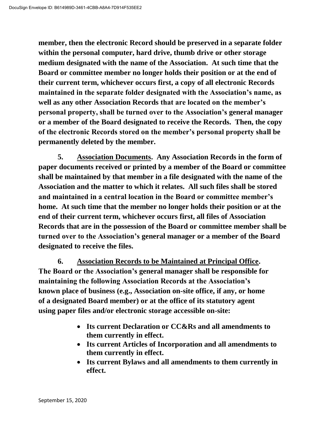**member, then the electronic Record should be preserved in a separate folder within the personal computer, hard drive, thumb drive or other storage medium designated with the name of the Association. At such time that the Board or committee member no longer holds their position or at the end of their current term, whichever occurs first, a copy of all electronic Records maintained in the separate folder designated with the Association's name, as well as any other Association Records that are located on the member's personal property, shall be turned over to the Association's general manager or a member of the Board designated to receive the Records. Then, the copy of the electronic Records stored on the member's personal property shall be permanently deleted by the member.**

**5. Association Documents. Any Association Records in the form of paper documents received or printed by a member of the Board or committee shall be maintained by that member in a file designated with the name of the Association and the matter to which it relates. All such files shall be stored and maintained in a central location in the Board or committee member's home. At such time that the member no longer holds their position or at the end of their current term, whichever occurs first, all files of Association Records that are in the possession of the Board or committee member shall be turned over to the Association's general manager or a member of the Board designated to receive the files.**

**6. Association Records to be Maintained at Principal Office. The Board or the Association's general manager shall be responsible for maintaining the following Association Records at the Association's known place of business (e.g., Association on-site office, if any, or home of a designated Board member) or at the office of its statutory agent using paper files and/or electronic storage accessible on-site:**

- **Its current Declaration or CC&Rs and all amendments to them currently in effect.**
- **Its current Articles of Incorporation and all amendments to them currently in effect.**
- **Its current Bylaws and all amendments to them currently in effect.**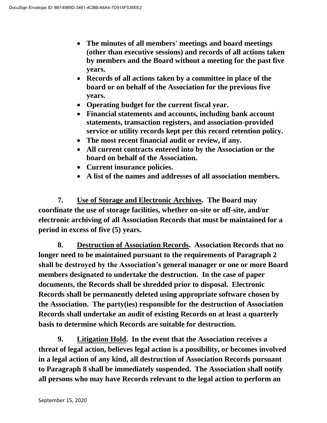- **The minutes of all members' meetings and board meetings (other than executive sessions) and records of all actions taken by members and the Board without a meeting for the past five years.**
- **Records of all actions taken by a committee in place of the board or on behalf of the Association for the previous five years.**
- **Operating budget for the current fiscal year.**
- **Financial statements and accounts, including bank account statements, transaction registers, and association-provided service or utility records kept per this record retention policy.**
- **The most recent financial audit or review, if any.**
- **All current contracts entered into by the Association or the board on behalf of the Association.**
- **Current insurance policies.**
- **A list of the names and addresses of all association members.**

**7. Use of Storage and Electronic Archives. The Board may coordinate the use of storage facilities, whether on-site or off-site, and/or electronic archiving of all Association Records that must be maintained for a period in excess of five (5) years.** 

**8. Destruction of Association Records. Association Records that no longer need to be maintained pursuant to the requirements of Paragraph 2 shall be destroyed by the Association's general manager or one or more Board members designated to undertake the destruction. In the case of paper documents, the Records shall be shredded prior to disposal. Electronic Records shall be permanently deleted using appropriate software chosen by the Association. The party(ies) responsible for the destruction of Association Records shall undertake an audit of existing Records on at least a quarterly basis to determine which Records are suitable for destruction.**

**9. Litigation Hold. In the event that the Association receives a threat of legal action, believes legal action is a possibility, or becomes involved in a legal action of any kind, all destruction of Association Records pursuant to Paragraph 8 shall be immediately suspended. The Association shall notify all persons who may have Records relevant to the legal action to perform an**